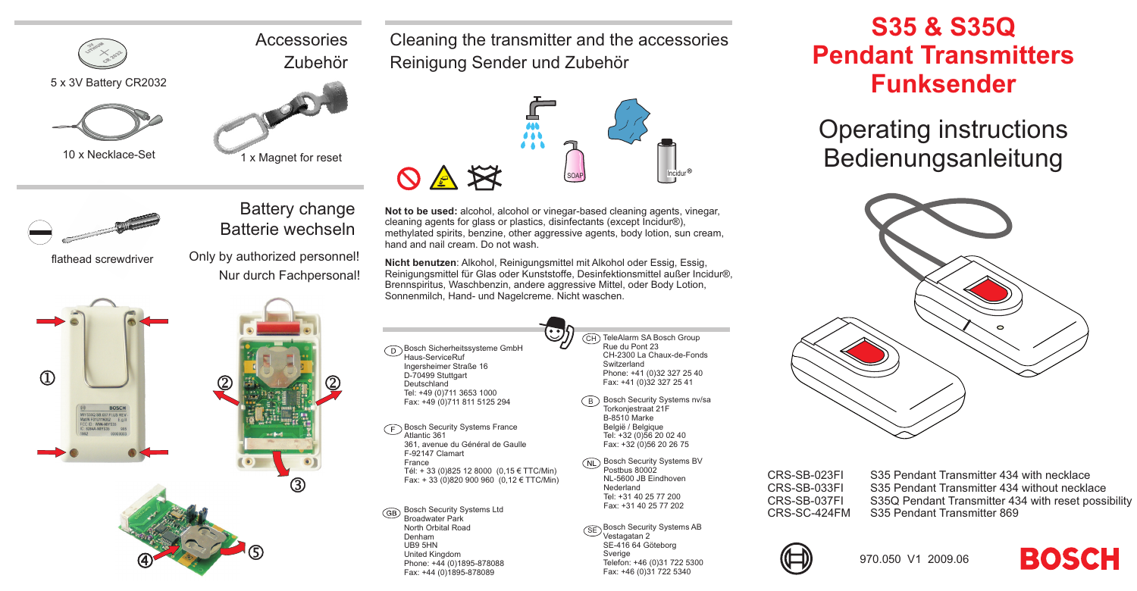



10 <sup>x</sup> Necklace-Set

flathead screwdriver

 $\Omega$ 



Batterie wechseln

**Accessories** 

Cleaning the transmitter and the accessories Reinigung Sender und Zubehör



Battery change **Not to be used:** alcohol, alcohol or vinegar-based cleaning agents, vinegar, cleaning agents for glass or plastics, disinfectants (except Incidur®), methylated spirits, benzine, other aggressive agents, body lotion, sun cream, hand and nail cream. Do not wash.

> **Nicht benutzen**: Alkohol, Reinigungsmittel mit Alkohol oder Essig, Essig, Reinigungsmittel für Glas oder Kunststoffe, Desinfektionsmittel außer Incidur®, Brennspiritus, Waschbenzin, andere aggressive Mittel, oder Body Lotion, Sonnenmilch, Hand- und Nagelcreme. Nicht waschen.

> > $\cdot \cdot$

Bosch Sicherheitssysteme GmbH Haus-ServiceRuf Ingersheimer Straße 16 D-70499 Stuttgart Deutschland Tel: +49 (0)711 3653 1000 Fax: +49 (0)711 811 5125 294

**Bosch Security Systems France** 〒 Atlantic 361 361, avenue du Général de Gaulle F-92147 Clamart France Tél: <sup>+</sup> 33 (0)825 12 8000 (0,15 € TTC/Min) Fax: <sup>+</sup> 33 (0)820 900 960 (0,12 € TTC/Min)

Bosch Security Systems Ltd GB Broadwater Park North Orbital RoadDenham UB9 5HN United Kingdom Phone: +44 (0)1895-878088 Fax: +44 (0)1895-878089

CH TeleAlarm SA Bosch Group Rue du Pont 23 CH-2300 La Chaux-de-FondsSwitzerland Phone: +41 (0)32 327 25 40 Fax: +41 (0)32 327 25 41

- <code>B</code>  $\,$  Bosch Security Systems nv/sa Torkonjestraat 21F B-8510 Marke België / Belgique Tel: +32 (0)56 20 02 40 Fax: +32 (0)56 20 26 75
- **Bosch Security Systems BV** Postbus 80002 NL-5600 JB EindhovenNederland Tel: +31 40 25 77 200Fax: +31 40 25 77 202
- $\widehat{\textsf{SE}}$  Bosch Security Systems AB Vestagatan 2 SE-416 64 Göteborg Sverige Telefon: +46 (0)31 722 5300 Fax: +46 (0)31 722 5340

## **S35 & S35Q Pendant TransmittersFunksender**

## Operating instructions Bedienungsanleitung



CRS-SB-023FI S35 Pendant Transmitter 434 with necklace CRS-SB-033FI S35 Pendant Transmitter 434 without necklaceCRS-SB-037FI S35Q Pendant Transmitter 434 with reset possibility CRS-SC-424FM S35 Pendant Transmitter 869





 Only by authorized personnel! Nur durch Fachpersonal!